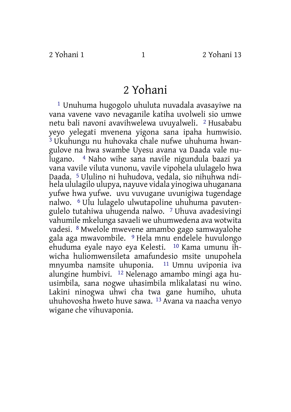## 2 Yohani

1 Unuhuma hugogolo uhuluta nuvadala avasayiwe na vana vavene vavo nevaganile katiha uvolweli sio umwe netu bali navoni avavihwelewa uvuyalweli. 2 Husababu yeyo yelegati mvenena yigona sana ipaha humwisio. 3 Ukuhungu nu huhovaka chale nufwe uhuhuma hwangulove na hwa swambe Uyesu avana va Daada vale nulugano. 4 Naho wihe sana navile nigundula baazi ya vana vavile viluta vunonu, vavile vipohela ululagelo hwa Daada. 5 Ululino ni huhudova, vedala, sio nihuhwa ndihela ululagilo ulupya, nayuve vidala yinogiwa uhuganana yufwe hwa yufwe. uvu vuvugane uvunigiwa tugendage nalwo. 6 Ulu lulagelo ulwutapoline uhuhuma pavutengulelo tutahiwa uhugenda nalwo. 7 Uhuva avadesivingi vahumile mkelunga savaeli we uhumwedena ava wotwita vadesi. 8 Mwelole mwevene amambo gago samwayalohe gala aga mwavombile. 9 Hela mnu endelele huvulongo ehuduma eyale nayo eya Kelesti. 10 Kama umunu ihwicha huliomwensileta amafundesio msite unupohela mnyumba namsite uhuponia. 11 Umnu uviponia iva alungine humbivi. 12 Nelenago amambo mingi aga huusimbila, sana nogwe uhasimbila mlikalatasi nu wino. Lakini ninogwa uhwi cha twa gane humiho, uhuta uhuhovosha hweto huve sawa. 13 Avana va naacha venyo wigane che vihuvaponia.